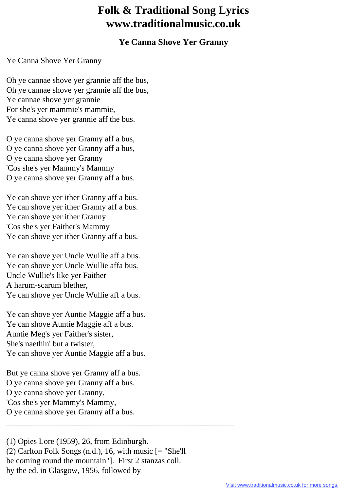## **Folk & Traditional Song Lyrics www.traditionalmusic.co.uk**

## **Ye Canna Shove Yer Granny**

## Ye Canna Shove Yer Granny

Oh ye cannae shove yer grannie aff the bus, Oh ye cannae shove yer grannie aff the bus, Ye cannae shove yer grannie For she's yer mammie's mammie, Ye canna shove yer grannie aff the bus.

O ye canna shove yer Granny aff a bus, O ye canna shove yer Granny aff a bus, O ye canna shove yer Granny 'Cos she's yer Mammy's Mammy O ye canna shove yer Granny aff a bus.

Ye can shove yer ither Granny aff a bus. Ye can shove yer ither Granny aff a bus. Ye can shove yer ither Granny 'Cos she's yer Faither's Mammy Ye can shove yer ither Granny aff a bus.

Ye can shove yer Uncle Wullie aff a bus. Ye can shove yer Uncle Wullie affa bus. Uncle Wullie's like yer Faither A harum-scarum blether, Ye can shove yer Uncle Wullie aff a bus.

Ye can shove yer Auntie Maggie aff a bus. Ye can shove Auntie Maggie aff a bus. Auntie Meg's yer Faither's sister, She's naethin' but a twister, Ye can shove yer Auntie Maggie aff a bus.

But ye canna shove yer Granny aff a bus. O ye canna shove yer Granny aff a bus. O ye canna shove yer Granny, 'Cos she's yer Mammy's Mammy, O ye canna shove yer Granny aff a bus.

(1) Opies Lore (1959), 26, from Edinburgh. (2) Carlton Folk Songs (n.d.), 16, with music [= "She'll be coming round the mountain"]. First 2 stanzas coll. by the ed. in Glasgow, 1956, followed by

\_\_\_\_\_\_\_\_\_\_\_\_\_\_\_\_\_\_\_\_\_\_\_\_\_\_\_\_\_\_\_\_\_\_\_\_\_\_\_\_\_\_\_\_\_\_\_\_\_\_\_\_\_\_\_\_